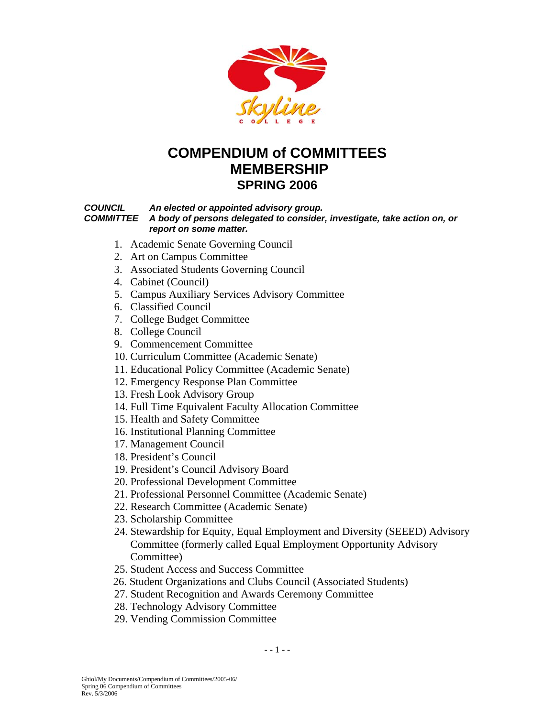

# **COMPENDIUM of COMMITTEES MEMBERSHIP SPRING 2006**

#### *COUNCIL An elected or appointed advisory group.*

 *COMMITTEE A body of persons delegated to consider, investigate, take action on, or report on some matter.* 

- 1. Academic Senate Governing Council
- 2. Art on Campus Committee
- 3. Associated Students Governing Council
- 4. Cabinet (Council)
- 5. Campus Auxiliary Services Advisory Committee
- 6. Classified Council
- 7. College Budget Committee
- 8. College Council
- 9. Commencement Committee
- 10. Curriculum Committee (Academic Senate)
- 11. Educational Policy Committee (Academic Senate)
- 12. Emergency Response Plan Committee
- 13. Fresh Look Advisory Group
- 14. Full Time Equivalent Faculty Allocation Committee
- 15. Health and Safety Committee
- 16. Institutional Planning Committee
- 17. Management Council
- 18. President's Council
- 19. President's Council Advisory Board
- 20. Professional Development Committee
- 21. Professional Personnel Committee (Academic Senate)
- 22. Research Committee (Academic Senate)
- 23. Scholarship Committee
- 24. Stewardship for Equity, Equal Employment and Diversity (SEEED) Advisory Committee (formerly called Equal Employment Opportunity Advisory Committee)
- 25. Student Access and Success Committee
- 26. Student Organizations and Clubs Council (Associated Students)
- 27. Student Recognition and Awards Ceremony Committee
- 28. Technology Advisory Committee
- 29. Vending Commission Committee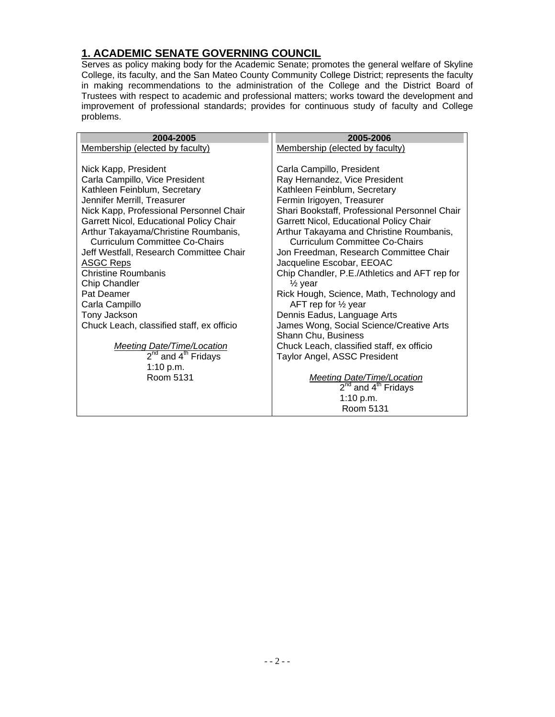#### **1. ACADEMIC SENATE GOVERNING COUNCIL**

Serves as policy making body for the Academic Senate; promotes the general welfare of Skyline College, its faculty, and the San Mateo County Community College District; represents the faculty in making recommendations to the administration of the College and the District Board of Trustees with respect to academic and professional matters; works toward the development and improvement of professional standards; provides for continuous study of faculty and College problems.

| 2004-2005                                   | 2005-2006                                     |
|---------------------------------------------|-----------------------------------------------|
| Membership (elected by faculty)             | Membership (elected by faculty)               |
|                                             |                                               |
| Nick Kapp, President                        | Carla Campillo, President                     |
| Carla Campillo, Vice President              | Ray Hernandez, Vice President                 |
| Kathleen Feinblum, Secretary                | Kathleen Feinblum, Secretary                  |
| Jennifer Merrill, Treasurer                 | Fermin Irigoyen, Treasurer                    |
| Nick Kapp, Professional Personnel Chair     | Shari Bookstaff, Professional Personnel Chair |
| Garrett Nicol, Educational Policy Chair     | Garrett Nicol, Educational Policy Chair       |
| Arthur Takayama/Christine Roumbanis,        | Arthur Takayama and Christine Roumbanis,      |
| <b>Curriculum Committee Co-Chairs</b>       | <b>Curriculum Committee Co-Chairs</b>         |
| Jeff Westfall, Research Committee Chair     | Jon Freedman, Research Committee Chair        |
| <b>ASGC Reps</b>                            | Jacqueline Escobar, EEOAC                     |
| <b>Christine Roumbanis</b>                  | Chip Chandler, P.E./Athletics and AFT rep for |
| Chip Chandler                               | $\frac{1}{2}$ year                            |
| Pat Deamer                                  | Rick Hough, Science, Math, Technology and     |
| Carla Campillo                              | AFT rep for $\frac{1}{2}$ year                |
| Tony Jackson                                | Dennis Eadus, Language Arts                   |
| Chuck Leach, classified staff, ex officio   | James Wong, Social Science/Creative Arts      |
|                                             | Shann Chu, Business                           |
| <b>Meeting Date/Time/Location</b>           | Chuck Leach, classified staff, ex officio     |
| 2 <sup>nd</sup> and 4 <sup>th</sup> Fridays | Taylor Angel, ASSC President                  |
| 1:10 p.m.                                   |                                               |
| Room 5131                                   | <b>Meeting Date/Time/Location</b>             |
|                                             | $2^{nd}$ and $4^{th}$ Fridays                 |
|                                             | 1:10 p.m.                                     |
|                                             | Room 5131                                     |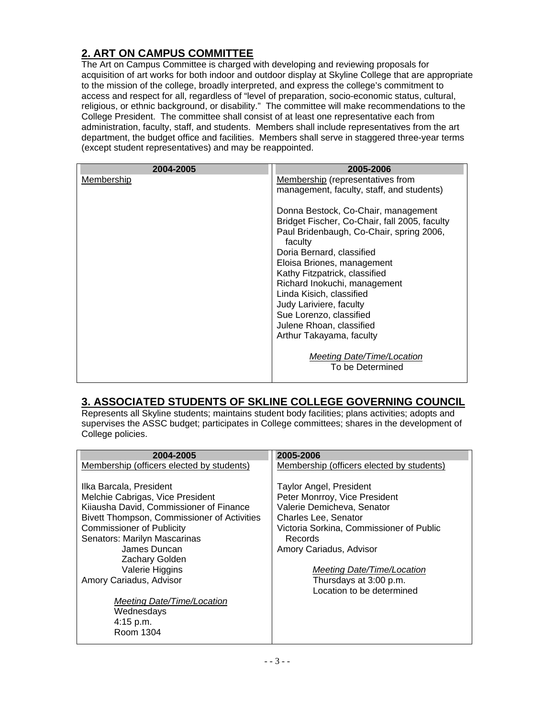### **2. ART ON CAMPUS COMMITTEE**

The Art on Campus Committee is charged with developing and reviewing proposals for acquisition of art works for both indoor and outdoor display at Skyline College that are appropriate to the mission of the college, broadly interpreted, and express the college's commitment to access and respect for all, regardless of "level of preparation, socio-economic status, cultural, religious, or ethnic background, or disability." The committee will make recommendations to the College President. The committee shall consist of at least one representative each from administration, faculty, staff, and students. Members shall include representatives from the art department, the budget office and facilities. Members shall serve in staggered three-year terms (except student representatives) and may be reappointed.

| 2004-2005  | 2005-2006                                                                                                                                                                                                                                                                                                                                                                                                         |
|------------|-------------------------------------------------------------------------------------------------------------------------------------------------------------------------------------------------------------------------------------------------------------------------------------------------------------------------------------------------------------------------------------------------------------------|
| Membership | Membership (representatives from<br>management, faculty, staff, and students)                                                                                                                                                                                                                                                                                                                                     |
|            | Donna Bestock, Co-Chair, management<br>Bridget Fischer, Co-Chair, fall 2005, faculty<br>Paul Bridenbaugh, Co-Chair, spring 2006,<br>faculty<br>Doria Bernard, classified<br>Eloisa Briones, management<br>Kathy Fitzpatrick, classified<br>Richard Inokuchi, management<br>Linda Kisich, classified<br>Judy Lariviere, faculty<br>Sue Lorenzo, classified<br>Julene Rhoan, classified<br>Arthur Takayama, faculty |
|            | <b>Meeting Date/Time/Location</b><br>To be Determined                                                                                                                                                                                                                                                                                                                                                             |

#### **3. ASSOCIATED STUDENTS OF SKLINE COLLEGE GOVERNING COUNCIL**

Represents all Skyline students; maintains student body facilities; plans activities; adopts and supervises the ASSC budget; participates in College committees; shares in the development of College policies.

| 2004-2005                                   | 2005-2006                                 |
|---------------------------------------------|-------------------------------------------|
| Membership (officers elected by students)   | Membership (officers elected by students) |
|                                             |                                           |
| Ilka Barcala, President                     | <b>Taylor Angel, President</b>            |
| Melchie Cabrigas, Vice President            | Peter Monrroy, Vice President             |
| Kiiausha David, Commissioner of Finance     | Valerie Demicheva, Senator                |
| Bivett Thompson, Commissioner of Activities | <b>Charles Lee, Senator</b>               |
| <b>Commissioner of Publicity</b>            | Victoria Sorkina, Commissioner of Public  |
| Senators: Marilyn Mascarinas                | Records                                   |
| James Duncan                                | Amory Cariadus, Advisor                   |
| Zachary Golden                              |                                           |
| Valerie Higgins                             | Meeting Date/Time/Location                |
| Amory Cariadus, Advisor                     | Thursdays at 3:00 p.m.                    |
|                                             | Location to be determined                 |
| Meeting Date/Time/Location                  |                                           |
| Wednesdays                                  |                                           |
| 4:15 p.m.                                   |                                           |
| Room 1304                                   |                                           |
|                                             |                                           |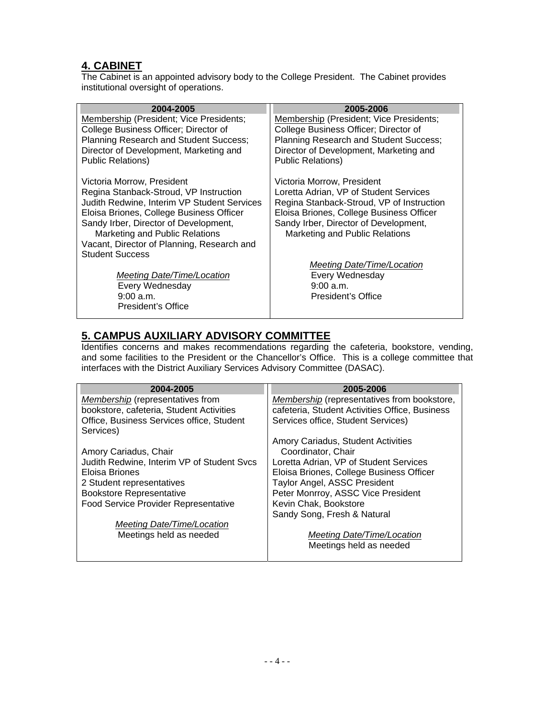#### **4. CABINET**

The Cabinet is an appointed advisory body to the College President. The Cabinet provides institutional oversight of operations.

| 2004-2005                                                                             | 2005-2006                                                                           |
|---------------------------------------------------------------------------------------|-------------------------------------------------------------------------------------|
| Membership (President; Vice Presidents;                                               | Membership (President; Vice Presidents;                                             |
| College Business Officer; Director of                                                 | College Business Officer; Director of                                               |
| Planning Research and Student Success;                                                | Planning Research and Student Success;                                              |
| Director of Development, Marketing and                                                | Director of Development, Marketing and                                              |
| <b>Public Relations)</b>                                                              | <b>Public Relations)</b>                                                            |
|                                                                                       |                                                                                     |
| Victoria Morrow, President                                                            | Victoria Morrow, President                                                          |
| Regina Stanback-Stroud, VP Instruction<br>Judith Redwine, Interim VP Student Services | Loretta Adrian, VP of Student Services<br>Regina Stanback-Stroud, VP of Instruction |
| Eloisa Briones, College Business Officer                                              | Eloisa Briones, College Business Officer                                            |
| Sandy Irber, Director of Development,                                                 | Sandy Irber, Director of Development,                                               |
| Marketing and Public Relations                                                        | Marketing and Public Relations                                                      |
| Vacant, Director of Planning, Research and                                            |                                                                                     |
| <b>Student Success</b>                                                                |                                                                                     |
|                                                                                       | Meeting Date/Time/Location                                                          |
| Meeting Date/Time/Location                                                            | Every Wednesday                                                                     |
| Every Wednesday                                                                       | 9:00 a.m.                                                                           |
| 9:00 a.m.                                                                             | President's Office                                                                  |
| President's Office                                                                    |                                                                                     |

# **5. CAMPUS AUXILIARY ADVISORY COMMITTEE**

Identifies concerns and makes recommendations regarding the cafeteria, bookstore, vending, and some facilities to the President or the Chancellor's Office. This is a college committee that interfaces with the District Auxiliary Services Advisory Committee (DASAC).

| 2004-2005                                   | 2005-2006                                          |
|---------------------------------------------|----------------------------------------------------|
| Membership (representatives from            | <b>Membership</b> (representatives from bookstore, |
| bookstore, cafeteria, Student Activities    | cafeteria, Student Activities Office, Business     |
|                                             |                                                    |
| Office, Business Services office, Student   | Services office, Student Services)                 |
| Services)                                   |                                                    |
|                                             | Amory Cariadus, Student Activities                 |
| Amory Cariadus, Chair                       | Coordinator, Chair                                 |
| Judith Redwine, Interim VP of Student Svcs  | Loretta Adrian, VP of Student Services             |
|                                             |                                                    |
| Eloisa Briones                              | Eloisa Briones, College Business Officer           |
| 2 Student representatives                   | Taylor Angel, ASSC President                       |
| <b>Bookstore Representative</b>             | Peter Monrroy, ASSC Vice President                 |
| <b>Food Service Provider Representative</b> | Kevin Chak, Bookstore                              |
|                                             | Sandy Song, Fresh & Natural                        |
| Meeting Date/Time/Location                  |                                                    |
| Meetings held as needed                     | Meeting Date/Time/Location                         |
|                                             | Meetings held as needed                            |
|                                             |                                                    |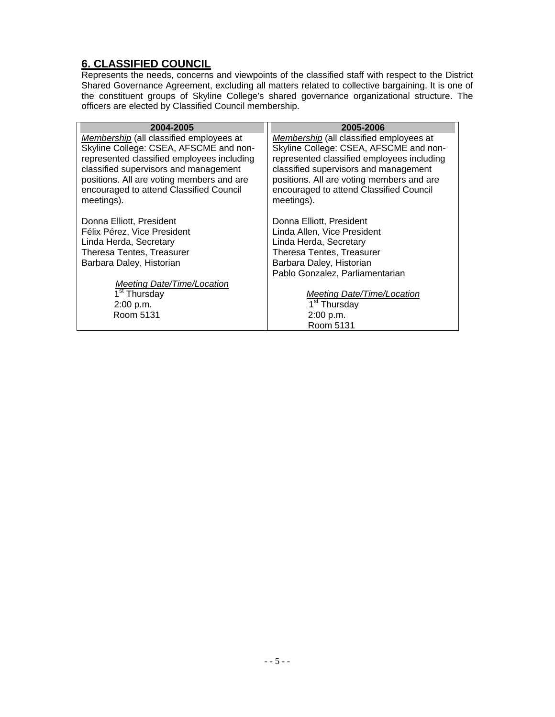#### **6. CLASSIFIED COUNCIL**

Represents the needs, concerns and viewpoints of the classified staff with respect to the District Shared Governance Agreement, excluding all matters related to collective bargaining. It is one of the constituent groups of Skyline College's shared governance organizational structure. The officers are elected by Classified Council membership.

| 2004-2005                                  | 2005-2006                                  |
|--------------------------------------------|--------------------------------------------|
| Membership (all classified employees at    | Membership (all classified employees at    |
| Skyline College: CSEA, AFSCME and non-     | Skyline College: CSEA, AFSCME and non-     |
| represented classified employees including | represented classified employees including |
| classified supervisors and management      | classified supervisors and management      |
| positions. All are voting members and are  | positions. All are voting members and are  |
| encouraged to attend Classified Council    | encouraged to attend Classified Council    |
| meetings).                                 | meetings).                                 |
|                                            |                                            |
| Donna Elliott, President                   | Donna Elliott, President                   |
| Félix Pérez, Vice President                | Linda Allen, Vice President                |
| Linda Herda, Secretary                     | Linda Herda, Secretary                     |
| Theresa Tentes, Treasurer                  | <b>Theresa Tentes, Treasurer</b>           |
| Barbara Daley, Historian                   | Barbara Daley, Historian                   |
|                                            | Pablo Gonzalez, Parliamentarian            |
| Meeting Date/Time/Location                 |                                            |
| 1 <sup>st</sup> Thursday                   | <b>Meeting Date/Time/Location</b>          |
| 2:00 p.m.                                  | 1 <sup>st</sup> Thursday                   |
| Room 5131                                  | 2:00 p.m.                                  |
|                                            | Room 5131                                  |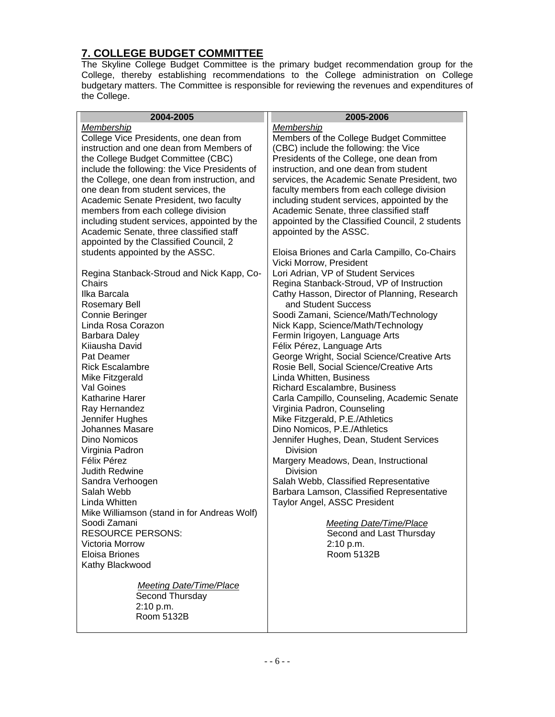#### **7. COLLEGE BUDGET COMMITTEE**

The Skyline College Budget Committee is the primary budget recommendation group for the College, thereby establishing recommendations to the College administration on College budgetary matters. The Committee is responsible for reviewing the revenues and expenditures of the College.

| 2004-2005                                     | 2005-2006                                                               |
|-----------------------------------------------|-------------------------------------------------------------------------|
| Membership                                    | Membership                                                              |
| College Vice Presidents, one dean from        | Members of the College Budget Committee                                 |
| instruction and one dean from Members of      | (CBC) include the following: the Vice                                   |
| the College Budget Committee (CBC)            | Presidents of the College, one dean from                                |
| include the following: the Vice Presidents of | instruction, and one dean from student                                  |
| the College, one dean from instruction, and   | services, the Academic Senate President, two                            |
| one dean from student services, the           | faculty members from each college division                              |
| Academic Senate President, two faculty        | including student services, appointed by the                            |
| members from each college division            | Academic Senate, three classified staff                                 |
| including student services, appointed by the  | appointed by the Classified Council, 2 students                         |
| Academic Senate, three classified staff       | appointed by the ASSC.                                                  |
| appointed by the Classified Council, 2        |                                                                         |
| students appointed by the ASSC.               | Eloisa Briones and Carla Campillo, Co-Chairs                            |
|                                               | Vicki Morrow, President                                                 |
| Regina Stanback-Stroud and Nick Kapp, Co-     | Lori Adrian, VP of Student Services                                     |
| Chairs                                        | Regina Stanback-Stroud, VP of Instruction                               |
| Ilka Barcala                                  | Cathy Hasson, Director of Planning, Research                            |
| <b>Rosemary Bell</b>                          | and Student Success                                                     |
| Connie Beringer                               | Soodi Zamani, Science/Math/Technology                                   |
| Linda Rosa Corazon                            | Nick Kapp, Science/Math/Technology                                      |
| Barbara Daley                                 | Fermin Irigoyen, Language Arts                                          |
| Kijausha David                                | Félix Pérez, Language Arts                                              |
| Pat Deamer                                    | George Wright, Social Science/Creative Arts                             |
| <b>Rick Escalambre</b>                        | Rosie Bell, Social Science/Creative Arts                                |
| Mike Fitzgerald                               | Linda Whitten, Business                                                 |
| Val Goines                                    | Richard Escalambre, Business                                            |
| <b>Katharine Harer</b>                        | Carla Campillo, Counseling, Academic Senate                             |
| Ray Hernandez                                 | Virginia Padron, Counseling                                             |
| Jennifer Hughes<br><b>Johannes Masare</b>     | Mike Fitzgerald, P.E./Athletics                                         |
| Dino Nomicos                                  | Dino Nomicos, P.E./Athletics<br>Jennifer Hughes, Dean, Student Services |
| Virginia Padron                               | <b>Division</b>                                                         |
| Félix Pérez                                   | Margery Meadows, Dean, Instructional                                    |
| <b>Judith Redwine</b>                         | <b>Division</b>                                                         |
| Sandra Verhoogen                              | Salah Webb, Classified Representative                                   |
| Salah Webb                                    | Barbara Lamson, Classified Representative                               |
| Linda Whitten                                 | Taylor Angel, ASSC President                                            |
| Mike Williamson (stand in for Andreas Wolf)   |                                                                         |
| Soodi Zamani                                  | <b>Meeting Date/Time/Place</b>                                          |
| <b>RESOURCE PERSONS:</b>                      | Second and Last Thursday                                                |
| Victoria Morrow                               | 2:10 p.m.                                                               |
| <b>Eloisa Briones</b>                         | Room 5132B                                                              |
| Kathy Blackwood                               |                                                                         |
|                                               |                                                                         |
| <b>Meeting Date/Time/Place</b>                |                                                                         |
| Second Thursday                               |                                                                         |
| 2:10 p.m.                                     |                                                                         |
| Room 5132B                                    |                                                                         |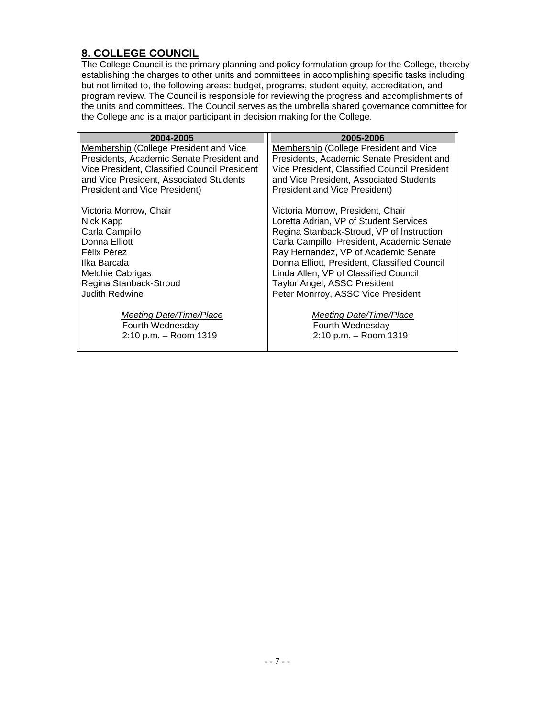#### **8. COLLEGE COUNCIL**

The College Council is the primary planning and policy formulation group for the College, thereby establishing the charges to other units and committees in accomplishing specific tasks including, but not limited to, the following areas: budget, programs, student equity, accreditation, and program review. The Council is responsible for reviewing the progress and accomplishments of the units and committees. The Council serves as the umbrella shared governance committee for the College and is a major participant in decision making for the College.

| 2004-2005                                    | 2005-2006                                    |
|----------------------------------------------|----------------------------------------------|
| Membership (College President and Vice       | Membership (College President and Vice       |
| Presidents, Academic Senate President and    | Presidents, Academic Senate President and    |
| Vice President, Classified Council President | Vice President, Classified Council President |
| and Vice President, Associated Students      | and Vice President, Associated Students      |
| <b>President and Vice President)</b>         | President and Vice President)                |
| Victoria Morrow, Chair                       | Victoria Morrow, President, Chair            |
| Nick Kapp                                    | Loretta Adrian, VP of Student Services       |
| Carla Campillo                               | Regina Stanback-Stroud, VP of Instruction    |
| Donna Elliott                                | Carla Campillo, President, Academic Senate   |
| Félix Pérez                                  | Ray Hernandez, VP of Academic Senate         |
| Ilka Barcala                                 | Donna Elliott, President, Classified Council |
| Melchie Cabrigas                             | Linda Allen, VP of Classified Council        |
| Regina Stanback-Stroud                       | Taylor Angel, ASSC President                 |
| <b>Judith Redwine</b>                        | Peter Monrroy, ASSC Vice President           |
| Meeting Date/Time/Place                      | Meeting Date/Time/Place                      |
| Fourth Wednesday                             | Fourth Wednesday                             |
| 2:10 p.m. - Room 1319                        | 2:10 p.m. - Room 1319                        |
|                                              |                                              |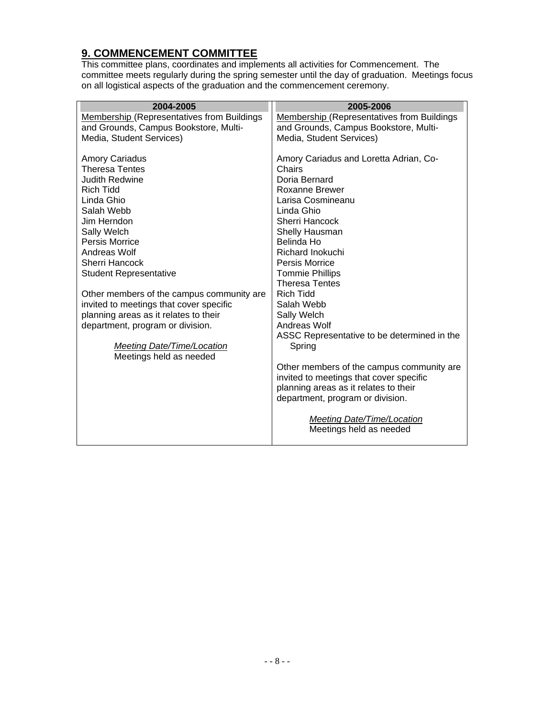#### **9. COMMENCEMENT COMMITTEE**

This committee plans, coordinates and implements all activities for Commencement. The committee meets regularly during the spring semester until the day of graduation. Meetings focus on all logistical aspects of the graduation and the commencement ceremony.

| 2004-2005                                                                                                                                                                                                                                                                                      | 2005-2006                                                                                                                                                                                                                                                                             |
|------------------------------------------------------------------------------------------------------------------------------------------------------------------------------------------------------------------------------------------------------------------------------------------------|---------------------------------------------------------------------------------------------------------------------------------------------------------------------------------------------------------------------------------------------------------------------------------------|
| <b>Membership (Representatives from Buildings</b>                                                                                                                                                                                                                                              | <b>Membership (Representatives from Buildings</b>                                                                                                                                                                                                                                     |
| and Grounds, Campus Bookstore, Multi-                                                                                                                                                                                                                                                          | and Grounds, Campus Bookstore, Multi-                                                                                                                                                                                                                                                 |
| Media, Student Services)                                                                                                                                                                                                                                                                       | Media, Student Services)                                                                                                                                                                                                                                                              |
| <b>Amory Cariadus</b><br><b>Theresa Tentes</b><br><b>Judith Redwine</b><br><b>Rich Tidd</b><br>Linda Ghio<br>Salah Webb<br>Jim Herndon<br>Sally Welch<br>Persis Morrice<br>Andreas Wolf<br><b>Sherri Hancock</b><br><b>Student Representative</b><br>Other members of the campus community are | Amory Cariadus and Loretta Adrian, Co-<br>Chairs<br>Doria Bernard<br>Roxanne Brewer<br>Larisa Cosmineanu<br>Linda Ghio<br>Sherri Hancock<br>Shelly Hausman<br>Belinda Ho<br>Richard Inokuchi<br>Persis Morrice<br><b>Tommie Phillips</b><br><b>Theresa Tentes</b><br><b>Rich Tidd</b> |
| invited to meetings that cover specific                                                                                                                                                                                                                                                        | Salah Webb                                                                                                                                                                                                                                                                            |
| planning areas as it relates to their                                                                                                                                                                                                                                                          | Sally Welch                                                                                                                                                                                                                                                                           |
| department, program or division.                                                                                                                                                                                                                                                               | Andreas Wolf                                                                                                                                                                                                                                                                          |
|                                                                                                                                                                                                                                                                                                | ASSC Representative to be determined in the                                                                                                                                                                                                                                           |
| <b>Meeting Date/Time/Location</b><br>Meetings held as needed                                                                                                                                                                                                                                   | Spring                                                                                                                                                                                                                                                                                |
|                                                                                                                                                                                                                                                                                                | Other members of the campus community are<br>invited to meetings that cover specific<br>planning areas as it relates to their<br>department, program or division.<br><b>Meeting Date/Time/Location</b><br>Meetings held as needed                                                     |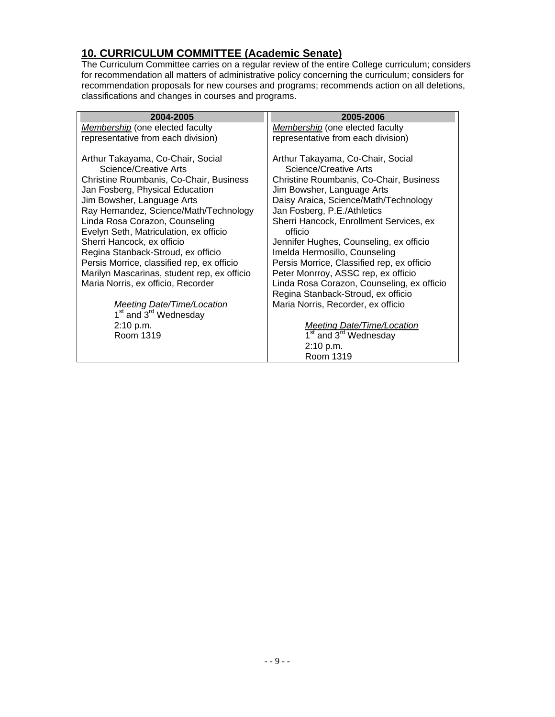#### **10. CURRICULUM COMMITTEE (Academic Senate)**

The Curriculum Committee carries on a regular review of the entire College curriculum; considers for recommendation all matters of administrative policy concerning the curriculum; considers for recommendation proposals for new courses and programs; recommends action on all deletions, classifications and changes in courses and programs.

| 2004-2005                                                                                                                                                                                                                                                                                                                                                                                                                                                                                                                                                                                                           | 2005-2006                                                                                                                                                                                                                                                                                                                                                                                                                                                                                                                                                                                                                                                |
|---------------------------------------------------------------------------------------------------------------------------------------------------------------------------------------------------------------------------------------------------------------------------------------------------------------------------------------------------------------------------------------------------------------------------------------------------------------------------------------------------------------------------------------------------------------------------------------------------------------------|----------------------------------------------------------------------------------------------------------------------------------------------------------------------------------------------------------------------------------------------------------------------------------------------------------------------------------------------------------------------------------------------------------------------------------------------------------------------------------------------------------------------------------------------------------------------------------------------------------------------------------------------------------|
| Membership (one elected faculty                                                                                                                                                                                                                                                                                                                                                                                                                                                                                                                                                                                     | Membership (one elected faculty                                                                                                                                                                                                                                                                                                                                                                                                                                                                                                                                                                                                                          |
| representative from each division)                                                                                                                                                                                                                                                                                                                                                                                                                                                                                                                                                                                  | representative from each division)                                                                                                                                                                                                                                                                                                                                                                                                                                                                                                                                                                                                                       |
| Arthur Takayama, Co-Chair, Social<br>Science/Creative Arts<br>Christine Roumbanis, Co-Chair, Business<br>Jan Fosberg, Physical Education<br>Jim Bowsher, Language Arts<br>Ray Hernandez, Science/Math/Technology<br>Linda Rosa Corazon, Counseling<br>Evelyn Seth, Matriculation, ex officio<br>Sherri Hancock, ex officio<br>Regina Stanback-Stroud, ex officio<br>Persis Morrice, classified rep, ex officio<br>Marilyn Mascarinas, student rep, ex officio<br>Maria Norris, ex officio, Recorder<br><b>Meeting Date/Time/Location</b><br>1 <sup>st</sup> and 3 <sup>rd</sup> Wednesday<br>2:10 p.m.<br>Room 1319 | Arthur Takayama, Co-Chair, Social<br>Science/Creative Arts<br>Christine Roumbanis, Co-Chair, Business<br>Jim Bowsher, Language Arts<br>Daisy Araica, Science/Math/Technology<br>Jan Fosberg, P.E./Athletics<br>Sherri Hancock, Enrollment Services, ex<br>officio<br>Jennifer Hughes, Counseling, ex officio<br>Imelda Hermosillo, Counseling<br>Persis Morrice, Classified rep, ex officio<br>Peter Monrroy, ASSC rep, ex officio<br>Linda Rosa Corazon, Counseling, ex officio<br>Regina Stanback-Stroud, ex officio<br>Maria Norris, Recorder, ex officio<br>Meeting Date/Time/Location<br>1 <sup>st</sup> and 3 <sup>rd</sup> Wednesday<br>2:10 p.m. |
|                                                                                                                                                                                                                                                                                                                                                                                                                                                                                                                                                                                                                     | Room 1319                                                                                                                                                                                                                                                                                                                                                                                                                                                                                                                                                                                                                                                |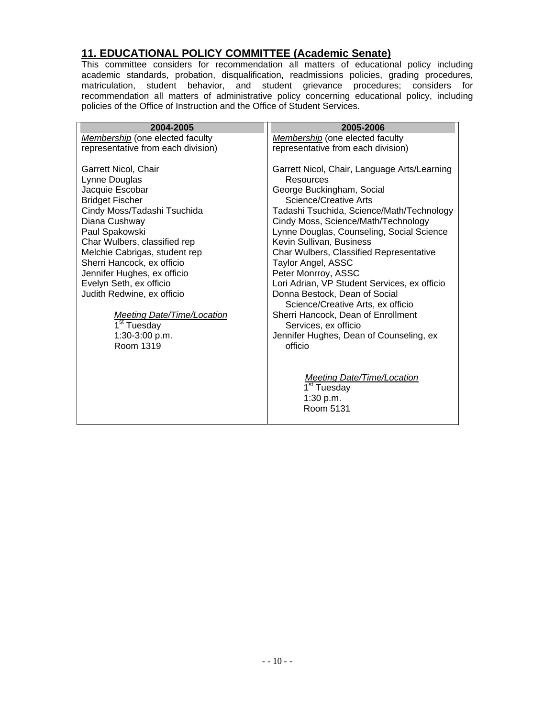#### **11. EDUCATIONAL POLICY COMMITTEE (Academic Senate)**

This committee considers for recommendation all matters of educational policy including academic standards, probation, disqualification, readmissions policies, grading procedures, matriculation, student behavior, and student grievance procedures; considers for recommendation all matters of administrative policy concerning educational policy, including policies of the Office of Instruction and the Office of Student Services.

| 2004-2005                          | 2005-2006                                                          |
|------------------------------------|--------------------------------------------------------------------|
| Membership (one elected faculty    | Membership (one elected faculty                                    |
| representative from each division) | representative from each division)                                 |
| Garrett Nicol, Chair               | Garrett Nicol, Chair, Language Arts/Learning                       |
| Lynne Douglas                      | Resources                                                          |
| Jacquie Escobar                    | George Buckingham, Social                                          |
| <b>Bridget Fischer</b>             | <b>Science/Creative Arts</b>                                       |
| Cindy Moss/Tadashi Tsuchida        | Tadashi Tsuchida, Science/Math/Technology                          |
| Diana Cushway                      | Cindy Moss, Science/Math/Technology                                |
| Paul Spakowski                     | Lynne Douglas, Counseling, Social Science                          |
| Char Wulbers, classified rep       | Kevin Sullivan, Business                                           |
| Melchie Cabrigas, student rep      | Char Wulbers, Classified Representative                            |
| Sherri Hancock, ex officio         | Taylor Angel, ASSC                                                 |
| Jennifer Hughes, ex officio        | Peter Monrroy, ASSC                                                |
| Evelyn Seth, ex officio            | Lori Adrian, VP Student Services, ex officio                       |
| Judith Redwine, ex officio         | Donna Bestock, Dean of Social<br>Science/Creative Arts, ex officio |
| <b>Meeting Date/Time/Location</b>  | Sherri Hancock, Dean of Enrollment                                 |
| $\overline{1}^{\text{st}}$ Tuesday | Services, ex officio                                               |
| 1:30-3:00 p.m.                     | Jennifer Hughes, Dean of Counseling, ex                            |
| Room 1319                          | officio                                                            |
|                                    |                                                                    |
|                                    | <b>Meeting Date/Time/Location</b>                                  |
|                                    | 1 <sup>st</sup> Tuesday                                            |
|                                    | 1:30 p.m.                                                          |
|                                    | Room 5131                                                          |
|                                    |                                                                    |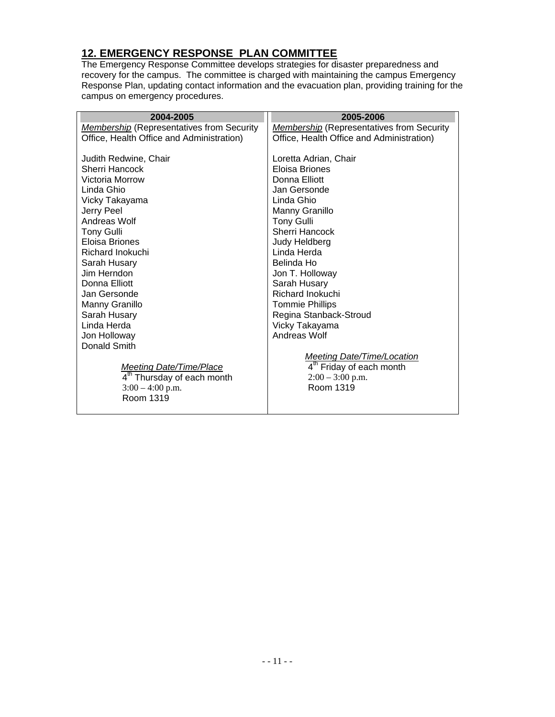# **12. EMERGENCY RESPONSE PLAN COMMITTEE**

The Emergency Response Committee develops strategies for disaster preparedness and recovery for the campus. The committee is charged with maintaining the campus Emergency Response Plan, updating contact information and the evacuation plan, providing training for the campus on emergency procedures.

| 2004-2005                                        | 2005-2006                                        |
|--------------------------------------------------|--------------------------------------------------|
| <b>Membership</b> (Representatives from Security | <b>Membership</b> (Representatives from Security |
| Office, Health Office and Administration)        | Office, Health Office and Administration)        |
|                                                  |                                                  |
| Judith Redwine, Chair                            | Loretta Adrian, Chair                            |
| Sherri Hancock                                   | <b>Floisa Briones</b>                            |
| Victoria Morrow                                  | Donna Elliott                                    |
| Linda Ghio                                       | Jan Gersonde                                     |
| Vicky Takayama                                   | Linda Ghio                                       |
| Jerry Peel                                       | Manny Granillo                                   |
| Andreas Wolf                                     | <b>Tony Gulli</b>                                |
| <b>Tony Gulli</b>                                | Sherri Hancock                                   |
| Eloisa Briones                                   | Judy Heldberg                                    |
| Richard Inokuchi                                 | Linda Herda                                      |
| Sarah Husary                                     | Belinda Ho                                       |
| Jim Herndon.                                     | Jon T. Holloway                                  |
| Donna Elliott                                    | Sarah Husary                                     |
| Jan Gersonde                                     | Richard Inokuchi                                 |
| Manny Granillo                                   | <b>Tommie Phillips</b>                           |
| Sarah Husary                                     | Regina Stanback-Stroud                           |
| Linda Herda                                      | Vicky Takayama                                   |
| Jon Holloway                                     | Andreas Wolf                                     |
| Donald Smith                                     |                                                  |
|                                                  | <b>Meeting Date/Time/Location</b>                |
| <b>Meeting Date/Time/Place</b>                   | 4 <sup>th</sup> Friday of each month             |
| 4 <sup>th</sup> Thursday of each month           | $2:00 - 3:00$ p.m.                               |
| $3:00 - 4:00$ p.m.                               | Room 1319                                        |
| Room 1319                                        |                                                  |
|                                                  |                                                  |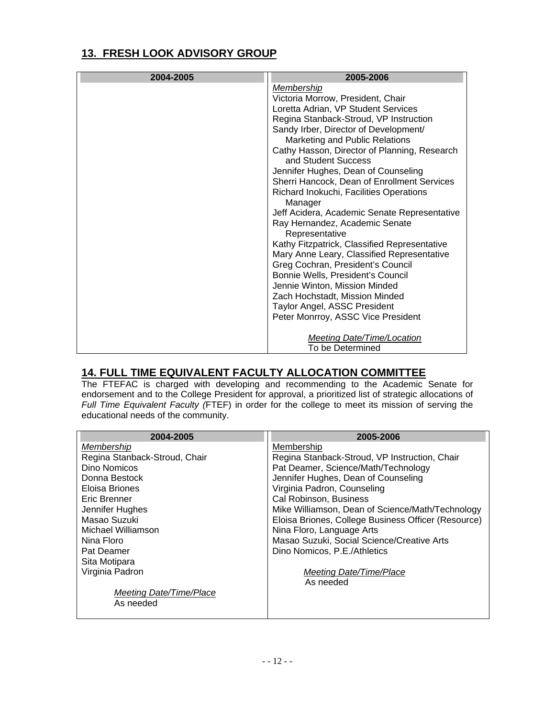#### **13. FRESH LOOK ADVISORY GROUP**

| 2004-2005 | 2005-2006                                    |
|-----------|----------------------------------------------|
|           | <b>Membership</b>                            |
|           | Victoria Morrow, President, Chair            |
|           | Loretta Adrian, VP Student Services          |
|           | Regina Stanback-Stroud, VP Instruction       |
|           | Sandy Irber, Director of Development/        |
|           | Marketing and Public Relations               |
|           | Cathy Hasson, Director of Planning, Research |
|           | and Student Success                          |
|           | Jennifer Hughes, Dean of Counseling          |
|           | Sherri Hancock, Dean of Enrollment Services  |
|           | Richard Inokuchi, Facilities Operations      |
|           | Manager                                      |
|           | Jeff Acidera, Academic Senate Representative |
|           | Ray Hernandez, Academic Senate               |
|           | Representative                               |
|           | Kathy Fitzpatrick, Classified Representative |
|           | Mary Anne Leary, Classified Representative   |
|           | Greg Cochran, President's Council            |
|           | Bonnie Wells, President's Council            |
|           | Jennie Winton, Mission Minded                |
|           | Zach Hochstadt, Mission Minded               |
|           | Taylor Angel, ASSC President                 |
|           | Peter Monrroy, ASSC Vice President           |
|           |                                              |
|           | <b>Meeting Date/Time/Location</b>            |
|           | To be Determined                             |

#### **14. FULL TIME EQUIVALENT FACULTY ALLOCATION COMMITTEE**

The FTEFAC is charged with developing and recommending to the Academic Senate for endorsement and to the College President for approval, a prioritized list of strategic allocations of *Full Time Equivalent Faculty (*FTEF) in order for the college to meet its mission of serving the educational needs of the community.

| 2004-2005                     | 2005-2006                                           |
|-------------------------------|-----------------------------------------------------|
| Membership                    | Membership                                          |
| Regina Stanback-Stroud, Chair | Regina Stanback-Stroud, VP Instruction, Chair       |
| Dino Nomicos                  | Pat Deamer, Science/Math/Technology                 |
| Donna Bestock                 | Jennifer Hughes, Dean of Counseling                 |
| Eloisa Briones                | Virginia Padron, Counseling                         |
| Eric Brenner                  | Cal Robinson, Business                              |
| Jennifer Hughes               | Mike Williamson, Dean of Science/Math/Technology    |
| Masao Suzuki                  | Eloisa Briones, College Business Officer (Resource) |
| Michael Williamson            | Nina Floro, Language Arts                           |
| Nina Floro                    | Masao Suzuki, Social Science/Creative Arts          |
| Pat Deamer                    | Dino Nomicos, P.E./Athletics                        |
| Sita Motipara                 |                                                     |
| Virginia Padron               | Meeting Date/Time/Place                             |
|                               | As needed                                           |
| Meeting Date/Time/Place       |                                                     |
| As needed                     |                                                     |
|                               |                                                     |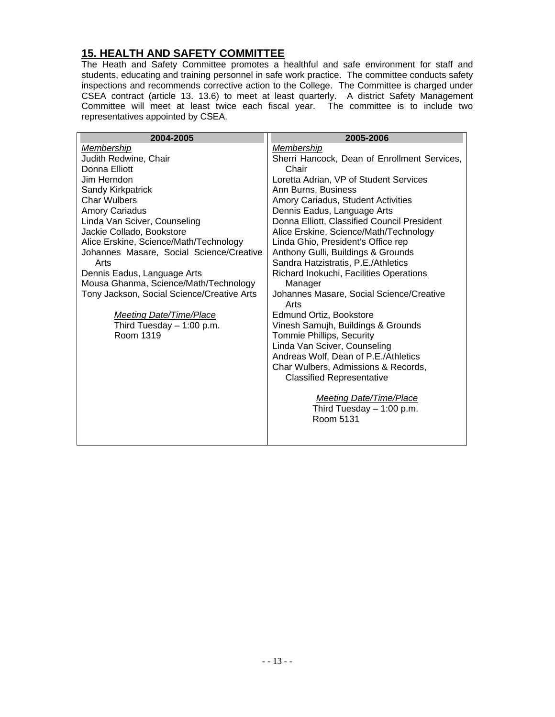### **15. HEALTH AND SAFETY COMMITTEE**

The Heath and Safety Committee promotes a healthful and safe environment for staff and students, educating and training personnel in safe work practice. The committee conducts safety inspections and recommends corrective action to the College. The Committee is charged under CSEA contract (article 13. 13.6) to meet at least quarterly. A district Safety Management Committee will meet at least twice each fiscal year. The committee is to include two representatives appointed by CSEA.

| 2004-2005                                  | 2005-2006                                                          |
|--------------------------------------------|--------------------------------------------------------------------|
| <b>Membership</b>                          | Membership                                                         |
| Judith Redwine, Chair                      | Sherri Hancock, Dean of Enrollment Services,                       |
| Donna Elliott                              | Chair                                                              |
| Jim Herndon                                | Loretta Adrian, VP of Student Services                             |
| Sandy Kirkpatrick                          | Ann Burns, Business                                                |
| <b>Char Wulbers</b>                        | Amory Cariadus, Student Activities                                 |
| <b>Amory Cariadus</b>                      | Dennis Eadus, Language Arts                                        |
| Linda Van Sciver, Counseling               | Donna Elliott, Classified Council President                        |
| Jackie Collado, Bookstore                  | Alice Erskine, Science/Math/Technology                             |
| Alice Erskine, Science/Math/Technology     | Linda Ghio, President's Office rep                                 |
| Johannes Masare, Social Science/Creative   | Anthony Gulli, Buildings & Grounds                                 |
| Arts                                       | Sandra Hatzistratis, P.E./Athletics                                |
| Dennis Eadus, Language Arts                | Richard Inokuchi, Facilities Operations                            |
| Mousa Ghanma, Science/Math/Technology      | Manager                                                            |
| Tony Jackson, Social Science/Creative Arts | Johannes Masare, Social Science/Creative<br>Arts                   |
| <b>Meeting Date/Time/Place</b>             | Edmund Ortiz, Bookstore                                            |
| Third Tuesday $-1:00$ p.m.                 | Vinesh Samujh, Buildings & Grounds                                 |
| Room 1319                                  | Tommie Phillips, Security                                          |
|                                            | Linda Van Sciver, Counseling                                       |
|                                            | Andreas Wolf, Dean of P.E./Athletics                               |
|                                            | Char Wulbers, Admissions & Records,                                |
|                                            | <b>Classified Representative</b>                                   |
|                                            | Meeting Date/Time/Place<br>Third Tuesday $-1:00$ p.m.<br>Room 5131 |
|                                            |                                                                    |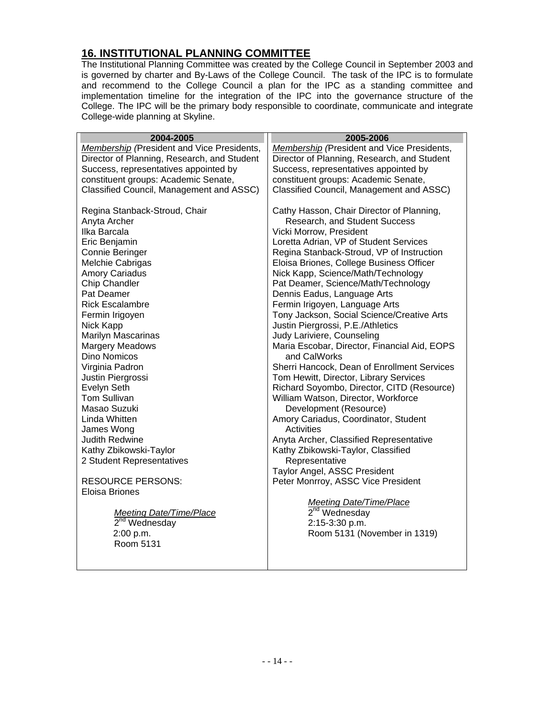### **16. INSTITUTIONAL PLANNING COMMITTEE**

The Institutional Planning Committee was created by the College Council in September 2003 and is governed by charter and By-Laws of the College Council. The task of the IPC is to formulate and recommend to the College Council a plan for the IPC as a standing committee and implementation timeline for the integration of the IPC into the governance structure of the College. The IPC will be the primary body responsible to coordinate, communicate and integrate College-wide planning at Skyline.

| 2004-2005                                   | 2005-2006                                         |
|---------------------------------------------|---------------------------------------------------|
| Membership (President and Vice Presidents,  | <b>Membership</b> (President and Vice Presidents, |
| Director of Planning, Research, and Student | Director of Planning, Research, and Student       |
| Success, representatives appointed by       | Success, representatives appointed by             |
| constituent groups: Academic Senate,        | constituent groups: Academic Senate,              |
| Classified Council, Management and ASSC)    | Classified Council, Management and ASSC)          |
| Regina Stanback-Stroud, Chair               | Cathy Hasson, Chair Director of Planning,         |
| Anyta Archer                                | Research, and Student Success                     |
| Ilka Barcala                                | Vicki Morrow, President                           |
| Eric Benjamin                               | Loretta Adrian, VP of Student Services            |
| Connie Beringer                             | Regina Stanback-Stroud, VP of Instruction         |
| Melchie Cabrigas                            | Eloisa Briones, College Business Officer          |
| <b>Amory Cariadus</b>                       | Nick Kapp, Science/Math/Technology                |
| Chip Chandler                               | Pat Deamer, Science/Math/Technology               |
| Pat Deamer                                  | Dennis Eadus, Language Arts                       |
| <b>Rick Escalambre</b>                      | Fermin Irigoyen, Language Arts                    |
| Fermin Irigoyen                             | Tony Jackson, Social Science/Creative Arts        |
| Nick Kapp                                   | Justin Piergrossi, P.E./Athletics                 |
| <b>Marilyn Mascarinas</b>                   | Judy Lariviere, Counseling                        |
| Margery Meadows                             | Maria Escobar, Director, Financial Aid, EOPS      |
| Dino Nomicos                                | and CalWorks                                      |
| Virginia Padron                             | Sherri Hancock, Dean of Enrollment Services       |
| Justin Piergrossi                           | Tom Hewitt, Director, Library Services            |
| Evelyn Seth                                 | Richard Soyombo, Director, CITD (Resource)        |
| <b>Tom Sullivan</b>                         | William Watson, Director, Workforce               |
| Masao Suzuki                                | Development (Resource)                            |
| Linda Whitten                               | Amory Cariadus, Coordinator, Student              |
| James Wong                                  | <b>Activities</b>                                 |
| <b>Judith Redwine</b>                       | Anyta Archer, Classified Representative           |
| Kathy Zbikowski-Taylor                      | Kathy Zbikowski-Taylor, Classified                |
| 2 Student Representatives                   | Representative                                    |
|                                             | Taylor Angel, ASSC President                      |
| <b>RESOURCE PERSONS:</b>                    | Peter Monrroy, ASSC Vice President                |
| Eloisa Briones                              |                                                   |
|                                             | Meeting Date/Time/Place                           |
| <b>Meeting Date/Time/Place</b>              | $2nd$ Wednesday                                   |
| $2nd$ Wednesday                             | 2:15-3:30 p.m.                                    |
| 2:00 p.m.                                   | Room 5131 (November in 1319)                      |
| Room 5131                                   |                                                   |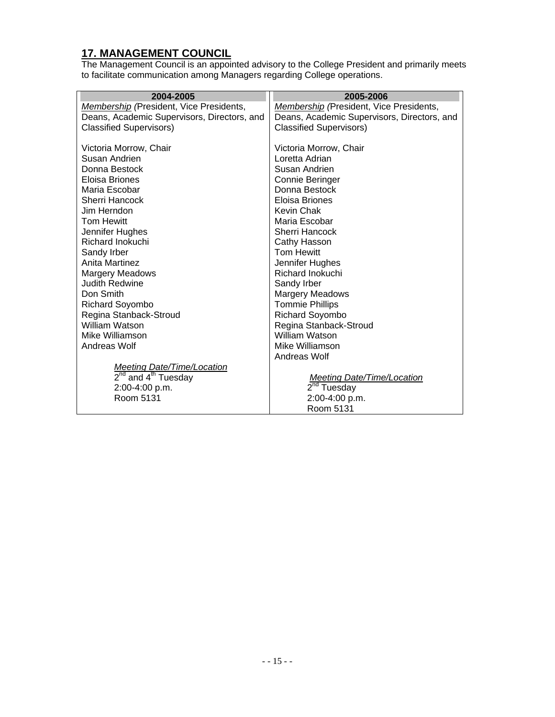#### **17. MANAGEMENT COUNCIL**

The Management Council is an appointed advisory to the College President and primarily meets to facilitate communication among Managers regarding College operations.

| 2004-2005                                   | 2005-2006                                      |
|---------------------------------------------|------------------------------------------------|
| Membership (President, Vice Presidents,     | <b>Membership</b> (President, Vice Presidents, |
| Deans, Academic Supervisors, Directors, and | Deans, Academic Supervisors, Directors, and    |
| <b>Classified Supervisors)</b>              | <b>Classified Supervisors)</b>                 |
|                                             |                                                |
| Victoria Morrow, Chair                      | Victoria Morrow, Chair                         |
| Susan Andrien                               | Loretta Adrian                                 |
| Donna Bestock                               | Susan Andrien                                  |
| Eloisa Briones                              | Connie Beringer                                |
| Maria Escobar                               | Donna Bestock                                  |
| Sherri Hancock                              | Eloisa Briones                                 |
| Jim Herndon.                                | <b>Kevin Chak</b>                              |
| <b>Tom Hewitt</b>                           | Maria Escobar                                  |
| Jennifer Hughes                             | Sherri Hancock                                 |
| Richard Inokuchi                            | Cathy Hasson                                   |
| Sandy Irber                                 | <b>Tom Hewitt</b>                              |
| Anita Martinez                              | Jennifer Hughes                                |
| <b>Margery Meadows</b>                      | <b>Richard Inokuchi</b>                        |
| Judith Redwine                              | Sandy Irber                                    |
| Don Smith                                   | <b>Margery Meadows</b>                         |
| <b>Richard Soyombo</b>                      | <b>Tommie Phillips</b>                         |
| Regina Stanback-Stroud                      | <b>Richard Soyombo</b>                         |
| William Watson                              | Regina Stanback-Stroud                         |
| Mike Williamson                             | William Watson                                 |
| Andreas Wolf                                | Mike Williamson                                |
|                                             | Andreas Wolf                                   |
| <b>Meeting Date/Time/Location</b>           |                                                |
| 2 <sup>nd</sup> and 4 <sup>th</sup> Tuesday | Meeting Date/Time/Location                     |
| 2:00-4:00 p.m.                              | 2 <sup>nd</sup> Tuesday                        |
| Room 5131                                   | 2:00-4:00 p.m.                                 |
|                                             | Room 5131                                      |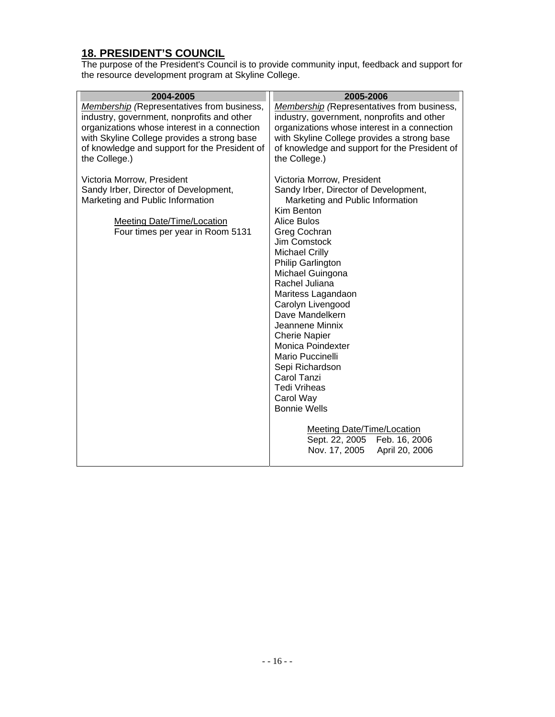#### **18. PRESIDENT'S COUNCIL**

The purpose of the President's Council is to provide community input, feedback and support for the resource development program at Skyline College.

| <b>Membership</b> (Representatives from business,                                                                                                                                                           |                                                                                                                                                                                                                                                                                                                                                                                                                                                                                                                                                                                                                    |
|-------------------------------------------------------------------------------------------------------------------------------------------------------------------------------------------------------------|--------------------------------------------------------------------------------------------------------------------------------------------------------------------------------------------------------------------------------------------------------------------------------------------------------------------------------------------------------------------------------------------------------------------------------------------------------------------------------------------------------------------------------------------------------------------------------------------------------------------|
| industry, government, nonprofits and other<br>organizations whose interest in a connection<br>with Skyline College provides a strong base<br>of knowledge and support for the President of<br>the College.) | <b>Membership</b> (Representatives from business,<br>industry, government, nonprofits and other<br>organizations whose interest in a connection<br>with Skyline College provides a strong base<br>of knowledge and support for the President of<br>the College.)                                                                                                                                                                                                                                                                                                                                                   |
| Victoria Morrow, President<br>Sandy Irber, Director of Development,<br>Marketing and Public Information<br><b>Meeting Date/Time/Location</b><br>Four times per year in Room 5131                            | Victoria Morrow, President<br>Sandy Irber, Director of Development,<br>Marketing and Public Information<br>Kim Benton<br>Alice Bulos<br>Greg Cochran<br>Jim Comstock<br><b>Michael Crilly</b><br>Philip Garlington<br>Michael Guingona<br>Rachel Juliana<br>Maritess Lagandaon<br>Carolyn Livengood<br>Dave Mandelkern<br>Jeannene Minnix<br><b>Cherie Napier</b><br>Monica Poindexter<br>Mario Puccinelli<br>Sepi Richardson<br>Carol Tanzi<br><b>Tedi Vriheas</b><br>Carol Way<br><b>Bonnie Wells</b><br><b>Meeting Date/Time/Location</b><br>Sept. 22, 2005<br>Feb. 16, 2006<br>April 20, 2006<br>Nov. 17, 2005 |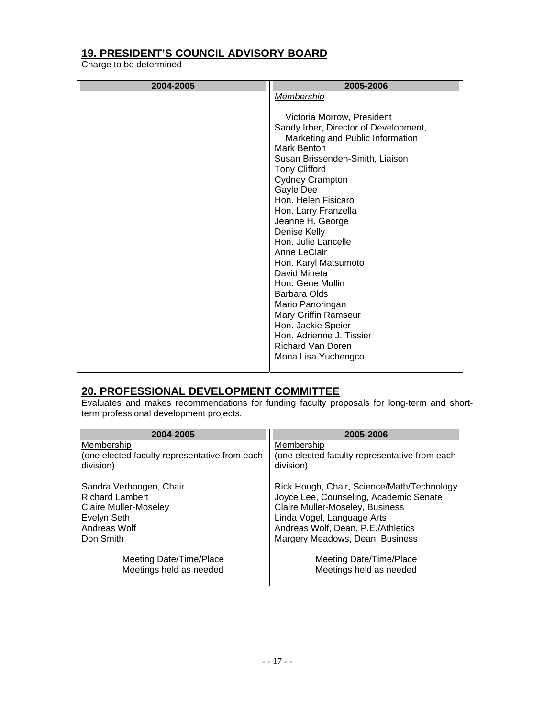### **19. PRESIDENT'S COUNCIL ADVISORY BOARD**

Charge to be determined

| 2004-2005 | 2005-2006                             |
|-----------|---------------------------------------|
|           | Membership                            |
|           |                                       |
|           | Victoria Morrow, President            |
|           | Sandy Irber, Director of Development, |
|           | Marketing and Public Information      |
|           | Mark Benton                           |
|           | Susan Brissenden-Smith, Liaison       |
|           | <b>Tony Clifford</b>                  |
|           | <b>Cydney Crampton</b>                |
|           | Gayle Dee                             |
|           | Hon. Helen Fisicaro                   |
|           | Hon. Larry Franzella                  |
|           | Jeanne H. George                      |
|           | Denise Kelly                          |
|           | Hon. Julie Lancelle<br>Anne LeClair   |
|           | Hon. Karyl Matsumoto                  |
|           | David Mineta                          |
|           | Hon. Gene Mullin                      |
|           | Barbara Olds                          |
|           | Mario Panoringan                      |
|           | Mary Griffin Ramseur                  |
|           | Hon. Jackie Speier                    |
|           | Hon. Adrienne J. Tissier              |
|           | <b>Richard Van Doren</b>              |
|           | Mona Lisa Yuchengco                   |
|           |                                       |

#### **20. PROFESSIONAL DEVELOPMENT COMMITTEE**

Evaluates and makes recommendations for funding faculty proposals for long-term and shortterm professional development projects.

| 2004-2005                                                  | 2005-2006                                                                 |
|------------------------------------------------------------|---------------------------------------------------------------------------|
| Membership                                                 | Membership                                                                |
| (one elected faculty representative from each<br>division) | (one elected faculty representative from each<br>division)                |
| Sandra Verhoogen, Chair                                    | Rick Hough, Chair, Science/Math/Technology                                |
| <b>Richard Lambert</b><br><b>Claire Muller-Moseley</b>     | Joyce Lee, Counseling, Academic Senate<br>Claire Muller-Moseley, Business |
| Evelyn Seth                                                | Linda Vogel, Language Arts                                                |
| Andreas Wolf                                               | Andreas Wolf, Dean, P.E./Athletics                                        |
| Don Smith                                                  | Margery Meadows, Dean, Business                                           |
| Meeting Date/Time/Place                                    | Meeting Date/Time/Place                                                   |
| Meetings held as needed                                    | Meetings held as needed                                                   |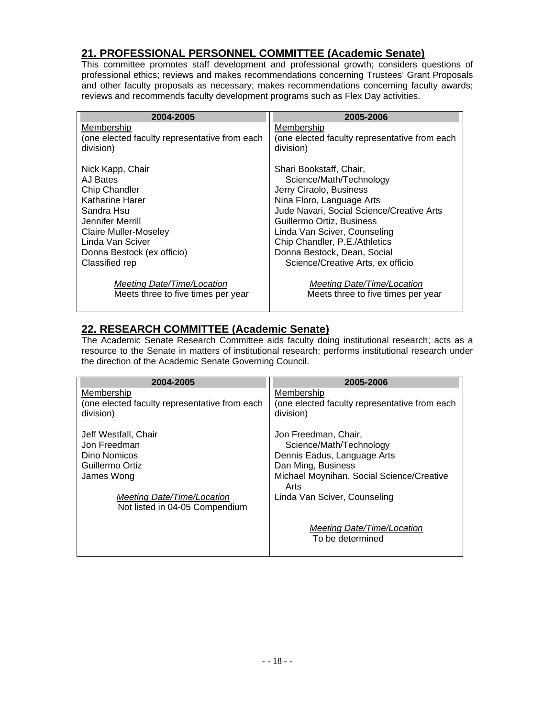#### **21. PROFESSIONAL PERSONNEL COMMITTEE (Academic Senate)**

This committee promotes staff development and professional growth; considers questions of professional ethics; reviews and makes recommendations concerning Trustees' Grant Proposals and other faculty proposals as necessary; makes recommendations concerning faculty awards; reviews and recommends faculty development programs such as Flex Day activities.

| 2004-2005                                                        | 2005-2006                                                        |
|------------------------------------------------------------------|------------------------------------------------------------------|
| Membership                                                       | Membership                                                       |
| (one elected faculty representative from each                    | (one elected faculty representative from each                    |
| division)                                                        | division)                                                        |
| Nick Kapp, Chair                                                 | Shari Bookstaff, Chair,                                          |
| AJ Bates                                                         | Science/Math/Technology                                          |
| <b>Chip Chandler</b>                                             | Jerry Ciraolo, Business                                          |
| Katharine Harer                                                  | Nina Floro, Language Arts                                        |
| Sandra Hsu                                                       | Jude Navari, Social Science/Creative Arts                        |
| Jennifer Merrill                                                 | Guillermo Ortiz, Business                                        |
| Claire Muller-Moseley                                            | Linda Van Sciver, Counseling                                     |
| Linda Van Sciver                                                 | Chip Chandler, P.E./Athletics                                    |
| Donna Bestock (ex officio)                                       | Donna Bestock, Dean, Social                                      |
| Classified rep                                                   | Science/Creative Arts, ex officio                                |
| Meeting Date/Time/Location<br>Meets three to five times per year | Meeting Date/Time/Location<br>Meets three to five times per year |

#### **22. RESEARCH COMMITTEE (Academic Senate)**

The Academic Senate Research Committee aids faculty doing institutional research; acts as a resource to the Senate in matters of institutional research; performs institutional research under the direction of the Academic Senate Governing Council.

| 2004-2005                                                                                                                                             | 2005-2006                                                                                                                                                                                 |
|-------------------------------------------------------------------------------------------------------------------------------------------------------|-------------------------------------------------------------------------------------------------------------------------------------------------------------------------------------------|
| Membership                                                                                                                                            | Membership                                                                                                                                                                                |
| (one elected faculty representative from each                                                                                                         | (one elected faculty representative from each                                                                                                                                             |
| division)                                                                                                                                             | division)                                                                                                                                                                                 |
| Jeff Westfall, Chair<br>Jon Freedman<br>Dino Nomicos<br>Guillermo Ortiz<br>James Wong<br>Meeting Date/Time/Location<br>Not listed in 04-05 Compendium | Jon Freedman, Chair,<br>Science/Math/Technology<br>Dennis Eadus, Language Arts<br>Dan Ming, Business<br>Michael Moynihan, Social Science/Creative<br>Arts<br>Linda Van Sciver, Counseling |
|                                                                                                                                                       | Meeting Date/Time/Location<br>To be determined                                                                                                                                            |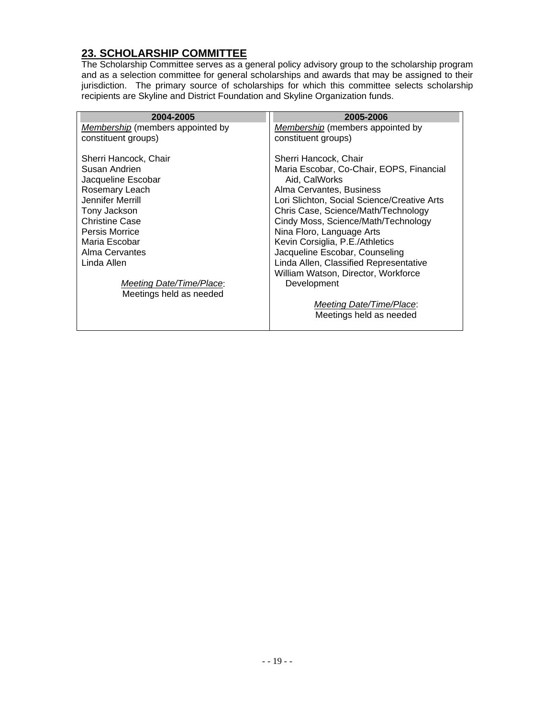# **23. SCHOLARSHIP COMMITTEE**

The Scholarship Committee serves as a general policy advisory group to the scholarship program and as a selection committee for general scholarships and awards that may be assigned to their jurisdiction. The primary source of scholarships for which this committee selects scholarship recipients are Skyline and District Foundation and Skyline Organization funds.

| 2004-2005                        | 2005-2006                                   |
|----------------------------------|---------------------------------------------|
| Membership (members appointed by | Membership (members appointed by            |
| constituent groups)              | constituent groups)                         |
| Sherri Hancock, Chair            | Sherri Hancock, Chair                       |
| Susan Andrien                    | Maria Escobar, Co-Chair, EOPS, Financial    |
| Jacqueline Escobar               | Aid, CalWorks                               |
| Rosemary Leach                   | Alma Cervantes, Business                    |
| Jennifer Merrill                 | Lori Slichton, Social Science/Creative Arts |
| Tony Jackson                     | Chris Case, Science/Math/Technology         |
| <b>Christine Case</b>            | Cindy Moss, Science/Math/Technology         |
| <b>Persis Morrice</b>            | Nina Floro, Language Arts                   |
| Maria Escobar                    | Kevin Corsiglia, P.E./Athletics             |
| Alma Cervantes                   | Jacqueline Escobar, Counseling              |
| Linda Allen                      | Linda Allen, Classified Representative      |
|                                  | William Watson, Director, Workforce         |
| Meeting Date/Time/Place:         | Development                                 |
| Meetings held as needed          |                                             |
|                                  | Meeting Date/Time/Place:                    |
|                                  | Meetings held as needed                     |
|                                  |                                             |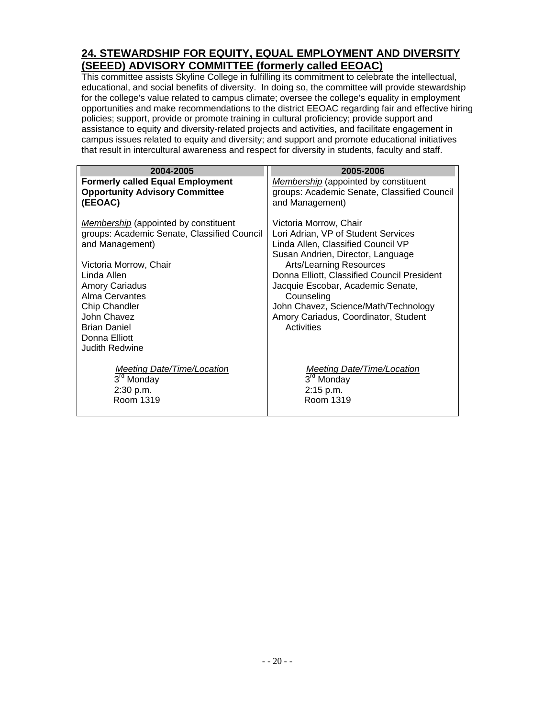#### **24. STEWARDSHIP FOR EQUITY, EQUAL EMPLOYMENT AND DIVERSITY (SEEED) ADVISORY COMMITTEE (formerly called EEOAC)**

This committee assists Skyline College in fulfilling its commitment to celebrate the intellectual, educational, and social benefits of diversity. In doing so, the committee will provide stewardship for the college's value related to campus climate; oversee the college's equality in employment opportunities and make recommendations to the district EEOAC regarding fair and effective hiring policies; support, provide or promote training in cultural proficiency; provide support and assistance to equity and diversity-related projects and activities, and facilitate engagement in campus issues related to equity and diversity; and support and promote educational initiatives that result in intercultural awareness and respect for diversity in students, faculty and staff.

| 2004-2005                                                                                                                                                                                                                                                                                                 | 2005-2006                                                                                                                                                                                                                                                                                                                                                                  |
|-----------------------------------------------------------------------------------------------------------------------------------------------------------------------------------------------------------------------------------------------------------------------------------------------------------|----------------------------------------------------------------------------------------------------------------------------------------------------------------------------------------------------------------------------------------------------------------------------------------------------------------------------------------------------------------------------|
| <b>Formerly called Equal Employment</b>                                                                                                                                                                                                                                                                   | Membership (appointed by constituent                                                                                                                                                                                                                                                                                                                                       |
| <b>Opportunity Advisory Committee</b>                                                                                                                                                                                                                                                                     | groups: Academic Senate, Classified Council                                                                                                                                                                                                                                                                                                                                |
| (EEOAC)                                                                                                                                                                                                                                                                                                   | and Management)                                                                                                                                                                                                                                                                                                                                                            |
| <b>Membership</b> (appointed by constituent<br>groups: Academic Senate, Classified Council<br>and Management)<br>Victoria Morrow, Chair<br>Linda Allen<br><b>Amory Cariadus</b><br>Alma Cervantes<br><b>Chip Chandler</b><br>John Chavez<br><b>Brian Daniel</b><br>Donna Elliott<br><b>Judith Redwine</b> | Victoria Morrow, Chair<br>Lori Adrian, VP of Student Services<br>Linda Allen, Classified Council VP<br>Susan Andrien, Director, Language<br><b>Arts/Learning Resources</b><br>Donna Elliott, Classified Council President<br>Jacquie Escobar, Academic Senate,<br>Counseling<br>John Chavez, Science/Math/Technology<br>Amory Cariadus, Coordinator, Student<br>Activities |
| <b>Meeting Date/Time/Location</b>                                                                                                                                                                                                                                                                         | Meeting Date/Time/Location                                                                                                                                                                                                                                                                                                                                                 |
| 3 <sup>rd</sup> Monday                                                                                                                                                                                                                                                                                    | 3 <sup>rd</sup> Monday                                                                                                                                                                                                                                                                                                                                                     |
| 2:30 p.m.                                                                                                                                                                                                                                                                                                 | 2:15 p.m.                                                                                                                                                                                                                                                                                                                                                                  |
| Room 1319                                                                                                                                                                                                                                                                                                 | Room 1319                                                                                                                                                                                                                                                                                                                                                                  |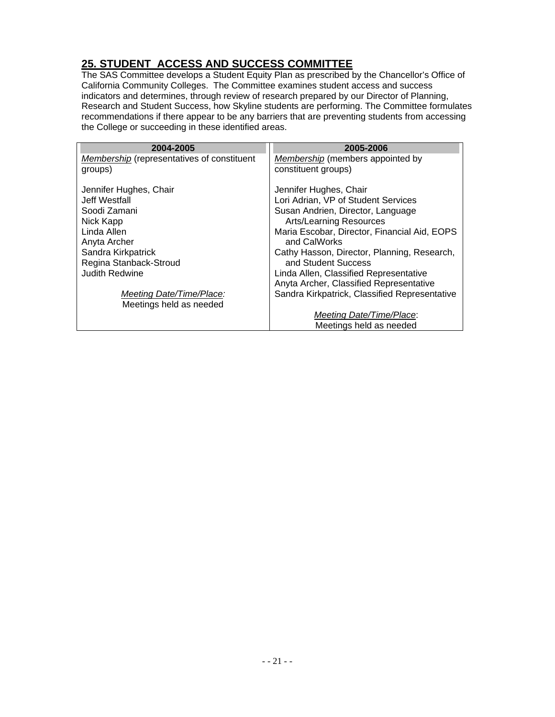### **25. STUDENT ACCESS AND SUCCESS COMMITTEE**

The SAS Committee develops a Student Equity Plan as prescribed by the Chancellor's Office of California Community Colleges. The Committee examines student access and success indicators and determines, through review of research prepared by our Director of Planning, Research and Student Success, how Skyline students are performing. The Committee formulates recommendations if there appear to be any barriers that are preventing students from accessing the College or succeeding in these identified areas.

| 2004-2005                                  | 2005-2006                                     |
|--------------------------------------------|-----------------------------------------------|
| Membership (representatives of constituent | Membership (members appointed by              |
| groups)                                    | constituent groups)                           |
| Jennifer Hughes, Chair                     | Jennifer Hughes, Chair                        |
| Jeff Westfall                              | Lori Adrian, VP of Student Services           |
| Soodi Zamani                               | Susan Andrien, Director, Language             |
| Nick Kapp                                  | <b>Arts/Learning Resources</b>                |
| Linda Allen                                | Maria Escobar, Director, Financial Aid, EOPS  |
| Anyta Archer                               | and CalWorks                                  |
| Sandra Kirkpatrick                         | Cathy Hasson, Director, Planning, Research,   |
| Regina Stanback-Stroud                     | and Student Success                           |
| <b>Judith Redwine</b>                      | Linda Allen, Classified Representative        |
|                                            | Anyta Archer, Classified Representative       |
| Meeting Date/Time/Place:                   | Sandra Kirkpatrick, Classified Representative |
| Meetings held as needed                    |                                               |
|                                            | Meeting Date/Time/Place:                      |
|                                            | Meetings held as needed                       |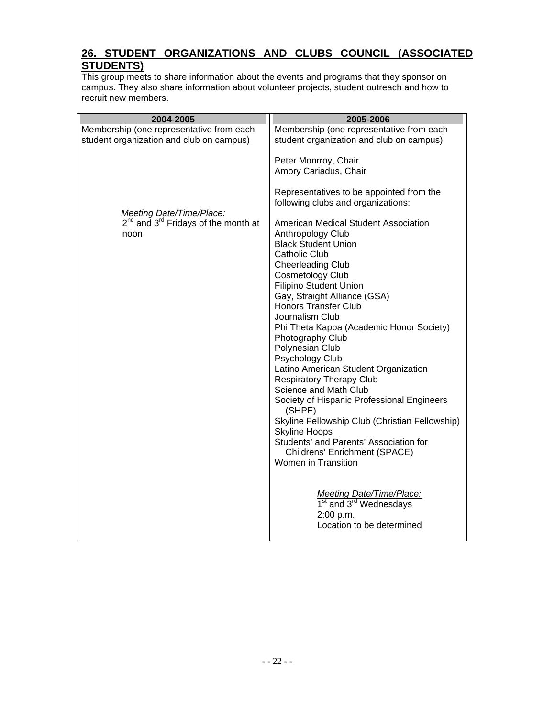#### **26. STUDENT ORGANIZATIONS AND CLUBS COUNCIL (ASSOCIATED STUDENTS)**

This group meets to share information about the events and programs that they sponsor on campus. They also share information about volunteer projects, student outreach and how to recruit new members.

| 2004-2005                                     | 2005-2006                                                                      |
|-----------------------------------------------|--------------------------------------------------------------------------------|
| Membership (one representative from each      | Membership (one representative from each                                       |
| student organization and club on campus)      | student organization and club on campus)                                       |
|                                               | Peter Monrroy, Chair                                                           |
|                                               | Amory Cariadus, Chair                                                          |
| Meeting Date/Time/Place:                      | Representatives to be appointed from the<br>following clubs and organizations: |
| $2^{nd}$ and $3^{rd}$ Fridays of the month at | American Medical Student Association                                           |
| noon                                          | Anthropology Club                                                              |
|                                               | <b>Black Student Union</b>                                                     |
|                                               | <b>Catholic Club</b>                                                           |
|                                               | <b>Cheerleading Club</b>                                                       |
|                                               | <b>Cosmetology Club</b>                                                        |
|                                               | <b>Filipino Student Union</b><br>Gay, Straight Alliance (GSA)                  |
|                                               | <b>Honors Transfer Club</b>                                                    |
|                                               | Journalism Club                                                                |
|                                               | Phi Theta Kappa (Academic Honor Society)                                       |
|                                               | Photography Club                                                               |
|                                               | Polynesian Club                                                                |
|                                               | Psychology Club                                                                |
|                                               | Latino American Student Organization                                           |
|                                               | <b>Respiratory Therapy Club</b>                                                |
|                                               | Science and Math Club                                                          |
|                                               | Society of Hispanic Professional Engineers<br>(SHPE)                           |
|                                               | Skyline Fellowship Club (Christian Fellowship)                                 |
|                                               | <b>Skyline Hoops</b>                                                           |
|                                               | Students' and Parents' Association for                                         |
|                                               | Childrens' Enrichment (SPACE)<br>Women in Transition                           |
|                                               |                                                                                |
|                                               | Meeting Date/Time/Place:                                                       |
|                                               | 1 <sup>st</sup> and 3 <sup>rd</sup> Wednesdays                                 |
|                                               | 2:00 p.m.<br>Location to be determined                                         |
|                                               |                                                                                |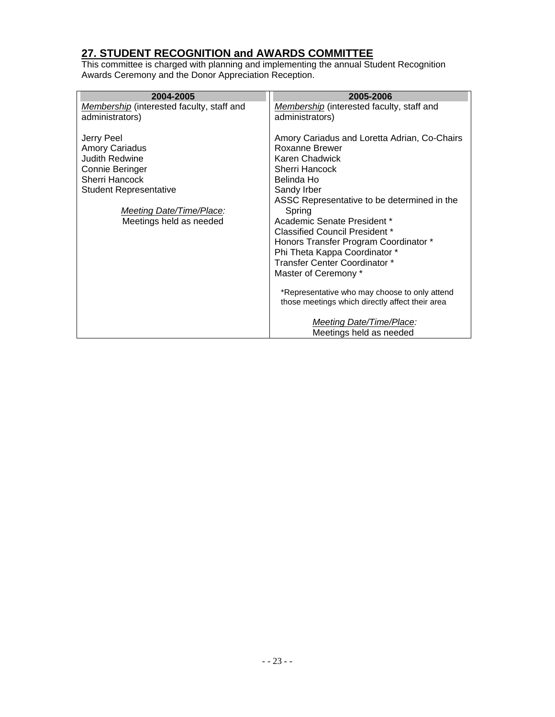#### **27. STUDENT RECOGNITION and AWARDS COMMITTEE**

This committee is charged with planning and implementing the annual Student Recognition Awards Ceremony and the Donor Appreciation Reception.

| 2004-2005                                 | 2005-2006                                       |
|-------------------------------------------|-------------------------------------------------|
| Membership (interested faculty, staff and | Membership (interested faculty, staff and       |
| administrators)                           | administrators)                                 |
|                                           |                                                 |
| Jerry Peel                                | Amory Cariadus and Loretta Adrian, Co-Chairs    |
| <b>Amory Cariadus</b>                     | Roxanne Brewer                                  |
| <b>Judith Redwine</b>                     | Karen Chadwick                                  |
| Connie Beringer                           | Sherri Hancock                                  |
| Sherri Hancock                            | Belinda Ho                                      |
| <b>Student Representative</b>             | Sandy Irber                                     |
|                                           | ASSC Representative to be determined in the     |
| Meeting Date/Time/Place:                  | Spring                                          |
| Meetings held as needed                   | Academic Senate President *                     |
|                                           | Classified Council President *                  |
|                                           | Honors Transfer Program Coordinator *           |
|                                           | Phi Theta Kappa Coordinator *                   |
|                                           | Transfer Center Coordinator *                   |
|                                           | Master of Ceremony *                            |
|                                           |                                                 |
|                                           | *Representative who may choose to only attend   |
|                                           | those meetings which directly affect their area |
|                                           | Meeting Date/Time/Place:                        |
|                                           | Meetings held as needed                         |